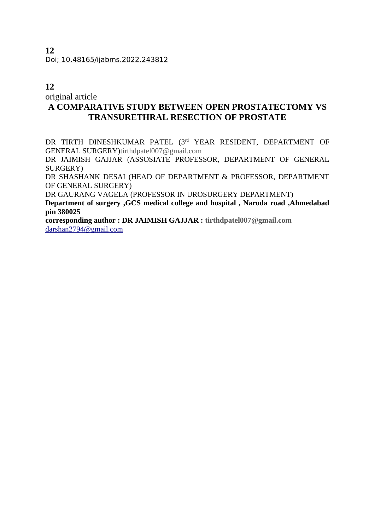## **12**

original article

# **A COMPARATIVE STUDY BETWEEN OPEN PROSTATECTOMY VS TRANSURETHRAL RESECTION OF PROSTATE**

DR TIRTH DINESHKUMAR PATEL (3rd YEAR RESIDENT, DEPARTMENT OF GENERAL SURGERY)tirthdpatel007@gmail.com

DR JAIMISH GAJJAR (ASSOSIATE PROFESSOR, DEPARTMENT OF GENERAL SURGERY)

DR SHASHANK DESAI (HEAD OF DEPARTMENT & PROFESSOR, DEPARTMENT OF GENERAL SURGERY)

DR GAURANG VAGELA (PROFESSOR IN UROSURGERY DEPARTMENT)

**Department of surgery ,GCS medical college and hospital , Naroda road ,Ahmedabad pin 380025** 

**corresponding author : DR JAIMISH GAJJAR : tirthdpatel007@gmail.com** [darshan2794@gmail.com](mailto:darshan2794@gmail.com)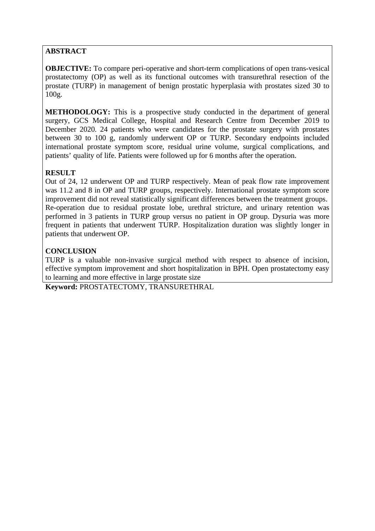## **ABSTRACT**

**OBJECTIVE:** To compare peri-operative and short-term complications of open trans-vesical prostatectomy (OP) as well as its functional outcomes with transurethral resection of the prostate (TURP) in management of benign prostatic hyperplasia with prostates sized 30 to 100g.

**METHODOLOGY:** This is a prospective study conducted in the department of general surgery, GCS Medical College, Hospital and Research Centre from December 2019 to December 2020. 24 patients who were candidates for the prostate surgery with prostates between 30 to 100 g, randomly underwent OP or TURP. Secondary endpoints included international prostate symptom score, residual urine volume, surgical complications, and patients' quality of life. Patients were followed up for 6 months after the operation.

## **RESULT**

Out of 24, 12 underwent OP and TURP respectively. Mean of peak flow rate improvement was 11.2 and 8 in OP and TURP groups, respectively. International prostate symptom score improvement did not reveal statistically significant differences between the treatment groups. Re-operation due to residual prostate lobe, urethral stricture, and urinary retention was performed in 3 patients in TURP group versus no patient in OP group. Dysuria was more frequent in patients that underwent TURP. Hospitalization duration was slightly longer in patients that underwent OP.

## **CONCLUSION**

TURP is a valuable non-invasive surgical method with respect to absence of incision, effective symptom improvement and short hospitalization in BPH. Open prostatectomy easy to learning and more effective in large prostate size

**Keyword:** PROSTATECTOMY, TRANSURETHRAL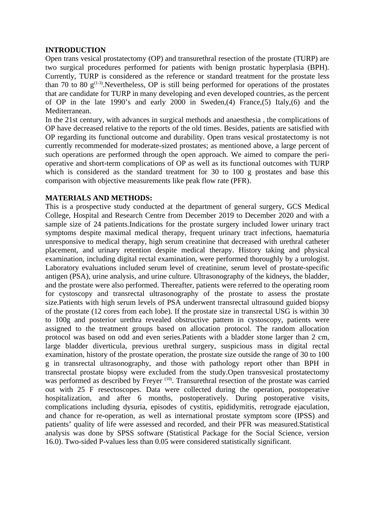#### **INTRODUCTION**

Open trans vesical prostatectomy (OP) and transurethral resection of the prostate (TURP) are two surgical procedures performed for patients with benign prostatic hyperplasia (BPH). Currently, TURP is considered as the reference or standard treatment for the prostate less than 70 to 80  $g^{(1-3)}$ . Nevertheless, OP is still being performed for operations of the prostates that are candidate for TURP in many developing and even developed countries, as the percent of OP in the late 1990's and early 2000 in Sweden,(4) France,(5) Italy,(6) and the Mediterranean.

In the 21st century, with advances in surgical methods and anaesthesia , the complications of OP have decreased relative to the reports of the old times. Besides, patients are satisfied with OP regarding its functional outcome and durability. Open trans vesical prostatectomy is not currently recommended for moderate-sized prostates; as mentioned above, a large percent of such operations are performed through the open approach. We aimed to compare the perioperative and short-term complications of OP as well as its functional outcomes with TURP which is considered as the standard treatment for 30 to 100 g prostates and base this comparison with objective measurements like peak flow rate (PFR).

### **MATERIALS AND METHODS:**

This is a prospective study conducted at the department of general surgery, GCS Medical College, Hospital and Research Centre from December 2019 to December 2020 and with a sample size of 24 patients.Indications for the prostate surgery included lower urinary tract symptoms despite maximal medical therapy, frequent urinary tract infections, haematuria unresponsive to medical therapy, high serum creatinine that decreased with urethral catheter placement, and urinary retention despite medical therapy. History taking and physical examination, including digital rectal examination, were performed thoroughly by a urologist. Laboratory evaluations included serum level of creatinine, serum level of prostate-specific antigen (PSA), urine analysis, and urine culture. Ultrasonography of the kidneys, the bladder, and the prostate were also performed. Thereafter, patients were referred to the operating room for cystoscopy and transrectal ultrasonography of the prostate to assess the prostate size.Patients with high serum levels of PSA underwent transrectal ultrasound guided biopsy of the prostate (12 cores from each lobe). If the prostate size in transrectal USG is within 30 to 100g and posterior urethra revealed obstructive pattern in cystoscopy, patients were assigned to the treatment groups based on allocation protocol. The random allocation protocol was based on odd and even series.Patients with a bladder stone larger than 2 cm, large bladder diverticula, previous urethral surgery, suspicious mass in digital rectal examination, history of the prostate operation, the prostate size outside the range of 30 to 100 g in transrectal ultrasonography, and those with pathology report other than BPH in transrectal prostate biopsy were excluded from the study.Open transvesical prostatectomy was performed as described by Freyer <sup>(10)</sup>. Transurethral resection of the prostate was carried out with 25 F resectoscopes. Data were collected during the operation, postoperative hospitalization, and after 6 months, postoperatively. During postoperative visits, complications including dysuria, episodes of cystitis, epididymitis, retrograde ejaculation, and chance for re-operation, as well as international prostate symptom score (IPSS) and patients' quality of life were assessed and recorded, and their PFR was measured.Statistical analysis was done by SPSS software (Statistical Package for the Social Science, version 16.0). Two-sided P-values less than 0.05 were considered statistically significant.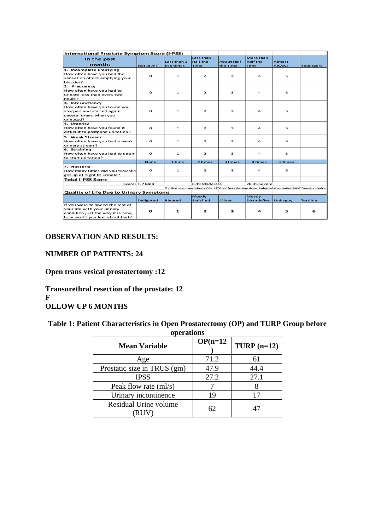| <b>International Prostate Symptom Score (I-PSS)</b>     |                   |                           |                                |                               |                                |                                                                                                         |                   |
|---------------------------------------------------------|-------------------|---------------------------|--------------------------------|-------------------------------|--------------------------------|---------------------------------------------------------------------------------------------------------|-------------------|
| In the past                                             |                   |                           | <b>Less than</b>               |                               | More than                      |                                                                                                         |                   |
| month:                                                  | <b>Not at All</b> | Less than 1<br>in 5 times | <b>Half the</b><br><b>Time</b> | <b>About Half</b><br>the Time | <b>Half the</b><br><b>Time</b> | <b>Almost</b><br>Always                                                                                 | <b>Your Score</b> |
| 1. Incomplete Emptying                                  |                   |                           |                                |                               |                                |                                                                                                         |                   |
| How often have you had the                              |                   |                           |                                |                               |                                |                                                                                                         |                   |
| sensation of not emptying your                          | $\circ$           | $\mathbf{1}$              | $\overline{2}$                 | 3                             | 4                              | 5                                                                                                       |                   |
| bladder?                                                |                   |                           |                                |                               |                                |                                                                                                         |                   |
| 2. Frequency                                            |                   |                           |                                |                               |                                |                                                                                                         |                   |
| How often have you had to                               | o                 | 1                         | $\overline{\mathbf{z}}$        | 3                             | 4                              | 5                                                                                                       |                   |
| urinate less than every two                             |                   |                           |                                |                               |                                |                                                                                                         |                   |
| hours?                                                  |                   |                           |                                |                               |                                |                                                                                                         |                   |
| 3. Intermittency                                        |                   |                           |                                |                               |                                |                                                                                                         |                   |
| How often have you found you                            | $\Omega$          | $\mathbf{1}$              | $\overline{2}$                 | 3                             | $\overline{\mathbf{A}}$        |                                                                                                         |                   |
| stopped and started again<br>several times when you     |                   |                           |                                |                               |                                | 5                                                                                                       |                   |
| urinated?                                               |                   |                           |                                |                               |                                |                                                                                                         |                   |
| 4. Urgency                                              |                   |                           |                                |                               |                                |                                                                                                         |                   |
| How often have you found it                             | $\Omega$          | $\mathbf{1}$              | $\overline{2}$                 | 3                             | $\overline{\mathbf{A}}$        | 5                                                                                                       |                   |
| difficult to postpone urination?                        |                   |                           |                                |                               |                                |                                                                                                         |                   |
| 5. Weak Stream                                          |                   |                           |                                |                               |                                |                                                                                                         |                   |
| How often have you had a weak                           | $\mathbf{o}$      | $\mathbf{1}$              | $\overline{2}$                 | 3                             | $\overline{\mathbf{A}}$        | 5                                                                                                       |                   |
| urinary stream?                                         |                   |                           |                                |                               |                                |                                                                                                         |                   |
| 6. Straining                                            |                   |                           |                                |                               |                                |                                                                                                         |                   |
| How often have you had to strain                        | $\Omega$          | 1                         | $\overline{2}$                 | 3                             | 4                              | 5                                                                                                       |                   |
| to start urination?                                     |                   |                           |                                |                               |                                |                                                                                                         |                   |
|                                                         | <b>None</b>       | 1 time                    | 2 times                        | 3 times                       | 4 times                        | 5 times                                                                                                 |                   |
| 7. Nocturia                                             | $\Omega$          |                           | $\overline{2}$                 | 3                             |                                |                                                                                                         |                   |
| How many times did you typically                        |                   | $\mathbf{1}$              |                                |                               | 4                              | 5                                                                                                       |                   |
| get up at night to urinate?<br><b>Total I-PSS Score</b> |                   |                           |                                |                               |                                |                                                                                                         |                   |
|                                                         | Score: 1-7 Mild   |                           | 8-19 Moderate                  |                               | 20-35 Severe                   |                                                                                                         |                   |
|                                                         |                   |                           |                                |                               |                                | The first seven questions of the I-PSS are from the American Urological Association (AUA) Symptom Index |                   |
| <b>Quality of Life Due to Urinary Symptoms</b>          |                   |                           |                                |                               |                                |                                                                                                         |                   |
|                                                         |                   |                           | <b>Mostly</b>                  |                               | <b>Mostly</b>                  |                                                                                                         |                   |
|                                                         | <b>Delighted</b>  | <b>Pleased</b>            | <b>Satisfied</b>               | <b>Mixed</b>                  | <b>Dissatisfied</b>            | Unhappy                                                                                                 | <b>Terrible</b>   |
| If you were to spend the rest of                        |                   |                           |                                |                               |                                |                                                                                                         |                   |
| your life with your urinary                             | $\mathbf{o}$      | $\mathbf{1}$              | $\overline{2}$                 | 3                             | 4                              | 5                                                                                                       | 6                 |
| condition just the way it is now,                       |                   |                           |                                |                               |                                |                                                                                                         |                   |
| how would you feel about that?                          |                   |                           |                                |                               |                                |                                                                                                         |                   |

## **OBSERVATION AND RESULTS:**

## **NUMBER OF PATIENTS: 24**

**Open trans vesical prostatectomy :12**

**Transurethral resection of the prostate: 12 F OLLOW UP 6 MONTHS** 

**Table 1: Patient Characteristics in Open Prostatectomy (OP) and TURP Group before**

| operations                  |            |              |  |  |  |
|-----------------------------|------------|--------------|--|--|--|
| <b>Mean Variable</b>        | $OP(n=12)$ | $TURP(n=12)$ |  |  |  |
| Age                         | 71.2       | 61           |  |  |  |
| Prostatic size in TRUS (gm) | 47.9       | 44.4         |  |  |  |
| <b>IPSS</b>                 | 27.2       | 27.1         |  |  |  |
| Peak flow rate (ml/s)       |            |              |  |  |  |
| Urinary incontinence        | 19         | 17           |  |  |  |
| Residual Urine volume       | 62         | 47           |  |  |  |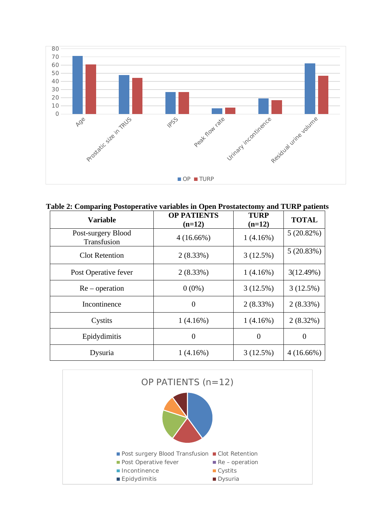

**Table 2: Comparing Postoperative variables in Open Prostatectomy and TURP patients**

| <b>Variable</b>                   | <b>OP PATIENTS</b><br>$(n=12)$ | <b>TURP</b><br>$(n=12)$ | <b>TOTAL</b> |
|-----------------------------------|--------------------------------|-------------------------|--------------|
| Post-surgery Blood<br>Transfusion | $4(16.66\%)$                   | $1(4.16\%)$             | 5(20.82%)    |
| <b>Clot Retention</b>             | 2(8.33%)                       | 3(12.5%)                | 5(20.83%)    |
| Post Operative fever              | 2(8.33%)                       | $1(4.16\%)$             | 3(12.49%)    |
| $Re-operation$                    | $0(0\%)$                       | 3(12.5%)                | 3(12.5%)     |
| Incontinence                      | $\theta$                       | 2(8.33%)                | 2(8.33%)     |
| Cystits                           | 1(4.16%)                       | $1(4.16\%)$             | 2(8.32%)     |
| Epidydimitis                      | $\overline{0}$                 | $\overline{0}$          | $\Omega$     |
| Dysuria                           | $1(4.16\%)$                    | 3(12.5%)                | $4(16.66\%)$ |

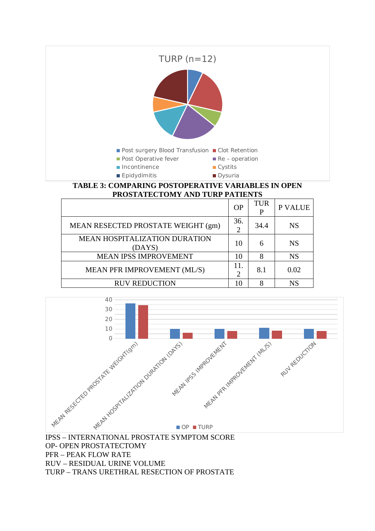

#### **TABLE 3: COMPARING POSTOPERATIVE VARIABLES IN OPEN PROSTATECTOMY AND TURP PATIENTS**

|                                                | OP       | TUR  | P VALUE   |
|------------------------------------------------|----------|------|-----------|
| MEAN RESECTED PROSTATE WEIGHT (gm)             | 36.<br>フ | 34.4 | <b>NS</b> |
| <b>MEAN HOSPITALIZATION DURATION</b><br>(DAYS) | 10       | 6    | <b>NS</b> |
| MEAN IPSS IMPROVEMENT                          | 10       | 8    | <b>NS</b> |
| MEAN PFR IMPROVEMENT (ML/S)                    |          | 8.1  | 0.02      |
| <b>RUV REDUCTION</b>                           |          | Զ    | <b>NS</b> |



IPSS – INTERNATIONAL PROSTATE SYMPTOM SCORE OP- OPEN PROSTATECTOMY PFR – PEAK FLOW RATE RUV – RESIDUAL URINE VOLUME TURP – TRANS URETHRAL RESECTION OF PROSTATE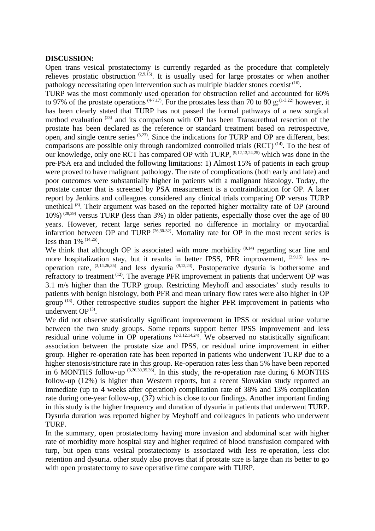#### **DISCUSSION:**

Open trans vesical prostatectomy is currently regarded as the procedure that completely relieves prostatic obstruction  $(2,9,15)$ . It is usually used for large prostates or when another pathology necessitating open intervention such as multiple bladder stones coexist<sup>(16)</sup>.

TURP was the most commonly used operation for obstruction relief and accounted for 60% to 97% of the prostate operations  $(4-7,17)$ . For the prostates less than 70 to 80 g;  $(1-3,22)$  however, it has been clearly stated that TURP has not passed the formal pathways of a new surgical method evaluation (23) and its comparison with OP has been Transurethral resection of the prostate has been declared as the reference or standard treatment based on retrospective, open, and single centre series (3,23). Since the indications for TURP and OP are different, best comparisons are possible only through randomized controlled trials  $(RCT)^{(14)}$ . To the best of our knowledge, only one RCT has compared OP with TURP, <sup>(9,12,13,24,25)</sup> which was done in the pre-PSA era and included the following limitations: 1) Almost 15% of patients in each group were proved to have malignant pathology. The rate of complications (both early and late) and poor outcomes were substantially higher in patients with a malignant histology. Today, the prostate cancer that is screened by PSA measurement is a contraindication for OP. A later report by Jenkins and colleagues considered any clinical trials comparing OP versus TURP unethical  $(8)$ . Their argument was based on the reported higher mortality rate of OP (around  $10\%$ ) (28,29) versus TURP (less than 3%) in older patients, especially those over the age of 80 years. However, recent large series reported no difference in mortality or myocardial infarction between OP and TURP <sup>(26,30-32)</sup>. Mortality rate for OP in the most recent series is less than  $1\%$  <sup>(14,26)</sup>.

We think that although OP is associated with more morbidity  $(9,14)$  regarding scar line and more hospitalization stay, but it results in better IPSS, PFR improvement,  $(2,9,15)$  less reoperation rate,  $^{(3,14,26,35)}$  and less dysuria  $^{(9,12,24)}$ . Postoperative dysuria is bothersome and refractory to treatment (12). The average PFR improvement in patients that underwent OP was 3.1 m/s higher than the TURP group. Restricting Meyhoff and associates' study results to patients with benign histology, both PFR and mean urinary flow rates were also higher in OP group  $(13)$ . Other retrospective studies support the higher PFR improvement in patients who underwent  $OP^{(3)}$ .

We did not observe statistically significant improvement in IPSS or residual urine volume between the two study groups. Some reports support better IPSS improvement and less residual urine volume in OP operations  $(2-3,12,14,24)$ . We observed no statistically significant association between the prostate size and IPSS, or residual urine improvement in either group. Higher re-operation rate has been reported in patients who underwent TURP due to a higher stenosis/stricture rate in this group. Re-operation rates less than 5% have been reported in 6 MONTHS follow-up  $^{(3,26,30,35,36)}$ . In this study, the re-operation rate during 6 MONTHS follow-up (12%) is higher than Western reports, but a recent Slovakian study reported an immediate (up to 4 weeks after operation) complication rate of 38% and 13% complication rate during one-year follow-up, (37) which is close to our findings. Another important finding in this study is the higher frequency and duration of dysuria in patients that underwent TURP. Dysuria duration was reported higher by Meyhoff and colleagues in patients who underwent TURP.

In the summary, open prostatectomy having more invasion and abdominal scar with higher rate of morbidity more hospital stay and higher required of blood transfusion compared with turp, but open trans vesical prostatectomy is associated with less re-operation, less clot retention and dysuria. other study also proves that if prostate size is large than its better to go with open prostatectomy to save operative time compare with TURP.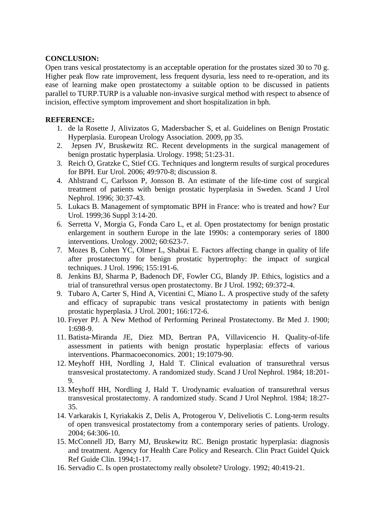### **CONCLUSION:**

Open trans vesical prostatectomy is an acceptable operation for the prostates sized 30 to 70 g. Higher peak flow rate improvement, less frequent dysuria, less need to re-operation, and its ease of learning make open prostatectomy a suitable option to be discussed in patients parallel to TURP.TURP is a valuable non-invasive surgical method with respect to absence of incision, effective symptom improvement and short hospitalization in bph.

### **REFERENCE:**

- 1. de la Rosette J, Alivizatos G, Madersbacher S, et al. Guidelines on Benign Prostatic Hyperplasia. European Urology Association. 2009, pp 35.
- 2. Jepsen JV, Bruskewitz RC. Recent developments in the surgical management of benign prostatic hyperplasia. Urology. 1998; 51:23-31.
- 3. Reich O, Gratzke C, Stief CG. Techniques and longterm results of surgical procedures for BPH. Eur Urol. 2006; 49:970-8; discussion 8.
- 4. Ahlstrand C, Carlsson P, Jonsson B. An estimate of the life-time cost of surgical treatment of patients with benign prostatic hyperplasia in Sweden. Scand J Urol Nephrol. 1996; 30:37-43.
- 5. Lukacs B. Management of symptomatic BPH in France: who is treated and how? Eur Urol. 1999;36 Suppl 3:14-20.
- 6. Serretta V, Morgia G, Fonda Caro L, et al. Open prostatectomy for benign prostatic enlargement in southern Europe in the late 1990s: a contemporary series of 1800 interventions. Urology. 2002; 60:623-7.
- 7. Mozes B, Cohen YC, Olmer L, Shabtai E. Factors affecting change in quality of life after prostatectomy for benign prostatic hypertrophy: the impact of surgical techniques. J Urol. 1996; 155:191-6.
- 8. Jenkins BJ, Sharma P, Badenoch DF, Fowler CG, Blandy JP. Ethics, logistics and a trial of transurethral versus open prostatectomy. Br J Urol. 1992; 69:372-4.
- 9. Tubaro A, Carter S, Hind A, Vicentini C, Miano L. A prospective study of the safety and efficacy of suprapubic trans vesical prostatectomy in patients with benign prostatic hyperplasia. J Urol. 2001; 166:172-6.
- 10. Freyer PJ. A New Method of Performing Perineal Prostatectomy. Br Med J. 1900; 1:698-9.
- 11. Batista-Miranda JE, Diez MD, Bertran PA, Villavicencio H. Quality-of-life assessment in patients with benign prostatic hyperplasia: effects of various interventions. Pharmacoeconomics. 2001; 19:1079-90.
- 12. Meyhoff HH, Nordling J, Hald T. Clinical evaluation of transurethral versus transvesical prostatectomy. A randomized study. Scand J Urol Nephrol. 1984; 18:201- 9.
- 13. Meyhoff HH, Nordling J, Hald T. Urodynamic evaluation of transurethral versus transvesical prostatectomy. A randomized study. Scand J Urol Nephrol. 1984; 18:27- 35.
- 14. Varkarakis I, Kyriakakis Z, Delis A, Protogerou V, Deliveliotis C. Long-term results of open transvesical prostatectomy from a contemporary series of patients. Urology. 2004; 64:306-10.
- 15. McConnell JD, Barry MJ, Bruskewitz RC. Benign prostatic hyperplasia: diagnosis and treatment. Agency for Health Care Policy and Research. Clin Pract Guidel Quick Ref Guide Clin. 1994;1-17.
- 16. Servadio C. Is open prostatectomy really obsolete? Urology. 1992; 40:419-21.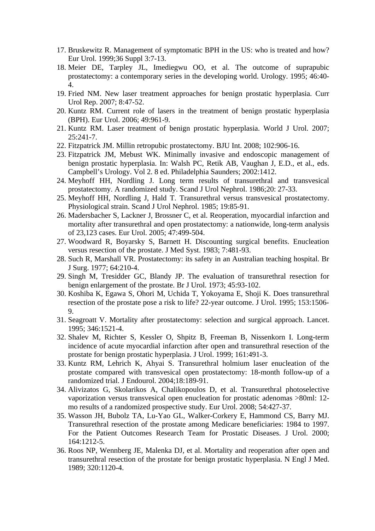- 17. Bruskewitz R. Management of symptomatic BPH in the US: who is treated and how? Eur Urol. 1999;36 Suppl 3:7-13.
- 18. Meier DE, Tarpley JL, Imediegwu OO, et al. The outcome of suprapubic prostatectomy: a contemporary series in the developing world. Urology. 1995; 46:40- 4.
- 19. Fried NM. New laser treatment approaches for benign prostatic hyperplasia. Curr Urol Rep. 2007; 8:47-52.
- 20. Kuntz RM. Current role of lasers in the treatment of benign prostatic hyperplasia (BPH). Eur Urol. 2006; 49:961-9.
- 21. Kuntz RM. Laser treatment of benign prostatic hyperplasia. World J Urol. 2007; 25:241-7.
- 22. Fitzpatrick JM. Millin retropubic prostatectomy. BJU Int. 2008; 102:906-16.
- 23. Fitzpatrick JM, Mebust WK. Minimally invasive and endoscopic management of benign prostatic hyperplasia. In: Walsh PC, Retik AB, Vaughan J, E.D., et al., eds. Campbell's Urology. Vol 2. 8 ed. Philadelphia Saunders; 2002:1412.
- 24. Meyhoff HH, Nordling J. Long term results of transurethral and transvesical prostatectomy. A randomized study. Scand J Urol Nephrol. 1986;20: 27-33.
- 25. Meyhoff HH, Nordling J, Hald T. Transurethral versus transvesical prostatectomy. Physiological strain. Scand J Urol Nephrol. 1985; 19:85-91.
- 26. Madersbacher S, Lackner J, Brossner C, et al. Reoperation, myocardial infarction and mortality after transurethral and open prostatectomy: a nationwide, long-term analysis of 23,123 cases. Eur Urol. 2005; 47:499-504.
- 27. Woodward R, Boyarsky S, Barnett H. Discounting surgical benefits. Enucleation versus resection of the prostate. J Med Syst. 1983; 7:481-93.
- 28. Such R, Marshall VR. Prostatectomy: its safety in an Australian teaching hospital. Br J Surg. 1977; 64:210-4.
- 29. Singh M, Tresidder GC, Blandy JP. The evaluation of transurethral resection for benign enlargement of the prostate. Br J Urol. 1973; 45:93-102.
- 30. Koshiba K, Egawa S, Ohori M, Uchida T, Yokoyama E, Shoji K. Does transurethral resection of the prostate pose a risk to life? 22-year outcome. J Urol. 1995; 153:1506- 9.
- 31. Seagroatt V. Mortality after prostatectomy: selection and surgical approach. Lancet. 1995; 346:1521-4.
- 32. Shalev M, Richter S, Kessler O, Shpitz B, Freeman B, Nissenkorn I. Long-term incidence of acute myocardial infarction after open and transurethral resection of the prostate for benign prostatic hyperplasia. J Urol. 1999; 161:491-3.
- 33. Kuntz RM, Lehrich K, Ahyai S. Transurethral holmium laser enucleation of the prostate compared with transvesical open prostatectomy: 18-month follow-up of a randomized trial. J Endourol. 2004;18:189-91.
- 34. Alivizatos G, Skolarikos A, Chalikopoulos D, et al. Transurethral photoselective vaporization versus transvesical open enucleation for prostatic adenomas >80ml: 12 mo results of a randomized prospective study. Eur Urol. 2008; 54:427-37.
- 35. Wasson JH, Bubolz TA, Lu-Yao GL, Walker-Corkery E, Hammond CS, Barry MJ. Transurethral resection of the prostate among Medicare beneficiaries: 1984 to 1997. For the Patient Outcomes Research Team for Prostatic Diseases. J Urol. 2000; 164:1212-5.
- 36. Roos NP, Wennberg JE, Malenka DJ, et al. Mortality and reoperation after open and transurethral resection of the prostate for benign prostatic hyperplasia. N Engl J Med. 1989; 320:1120-4.